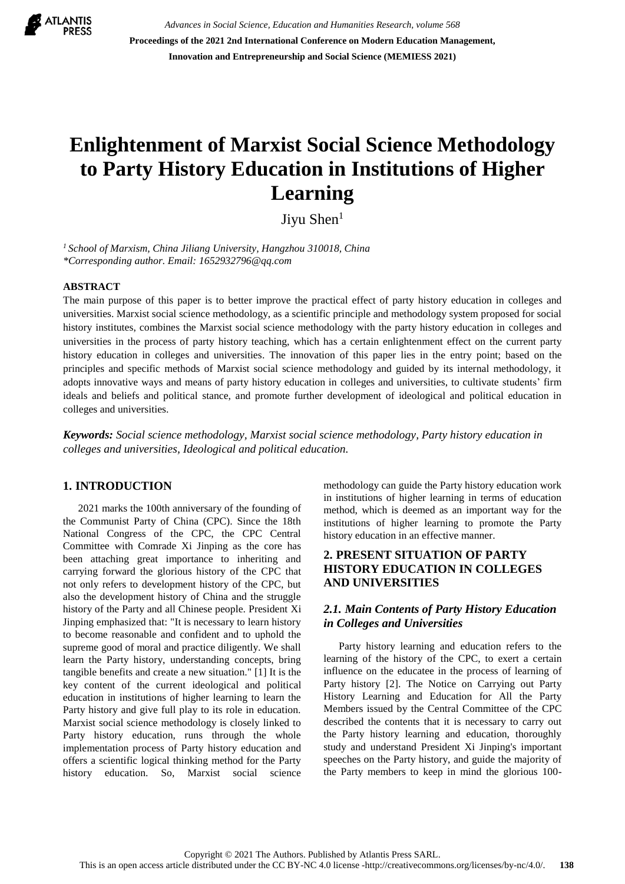

*Advances in Social Science, Education and Humanities Research, volume 568* **Proceedings of the 2021 2nd International Conference on Modern Education Management, Innovation and Entrepreneurship and Social Science (MEMIESS 2021)**

# **Enlightenment of Marxist Social Science Methodology to Party History Education in Institutions of Higher Learning**

Jiyu Shen<sup>1</sup>

*<sup>1</sup> School of Marxism, China Jiliang University, Hangzhou 310018, China \*Corresponding author. Email: 1652932796@qq.com*

#### **ABSTRACT**

The main purpose of this paper is to better improve the practical effect of party history education in colleges and universities. Marxist social science methodology, as a scientific principle and methodology system proposed for social history institutes, combines the Marxist social science methodology with the party history education in colleges and universities in the process of party history teaching, which has a certain enlightenment effect on the current party history education in colleges and universities. The innovation of this paper lies in the entry point; based on the principles and specific methods of Marxist social science methodology and guided by its internal methodology, it adopts innovative ways and means of party history education in colleges and universities, to cultivate students' firm ideals and beliefs and political stance, and promote further development of ideological and political education in colleges and universities.

*Keywords: Social science methodology, Marxist social science methodology, Party history education in colleges and universities, Ideological and political education.*

#### **1. INTRODUCTION**

2021 marks the 100th anniversary of the founding of the Communist Party of China (CPC). Since the 18th National Congress of the CPC, the CPC Central Committee with Comrade Xi Jinping as the core has been attaching great importance to inheriting and carrying forward the glorious history of the CPC that not only refers to development history of the CPC, but also the development history of China and the struggle history of the Party and all Chinese people. President Xi Jinping emphasized that: "It is necessary to learn history to become reasonable and confident and to uphold the supreme good of moral and practice diligently. We shall learn the Party history, understanding concepts, bring tangible benefits and create a new situation." [1] It is the key content of the current ideological and political education in institutions of higher learning to learn the Party history and give full play to its role in education. Marxist social science methodology is closely linked to Party history education, runs through the whole implementation process of Party history education and offers a scientific logical thinking method for the Party history education. So, Marxist social science methodology can guide the Party history education work in institutions of higher learning in terms of education method, which is deemed as an important way for the institutions of higher learning to promote the Party history education in an effective manner.

## **2. PRESENT SITUATION OF PARTY HISTORY EDUCATION IN COLLEGES AND UNIVERSITIES**

## *2.1. Main Contents of Party History Education in Colleges and Universities*

Party history learning and education refers to the learning of the history of the CPC, to exert a certain influence on the educatee in the process of learning of Party history [2]. The Notice on Carrying out Party History Learning and Education for All the Party Members issued by the Central Committee of the CPC described the contents that it is necessary to carry out the Party history learning and education, thoroughly study and understand President Xi Jinping's important speeches on the Party history, and guide the majority of the Party members to keep in mind the glorious 100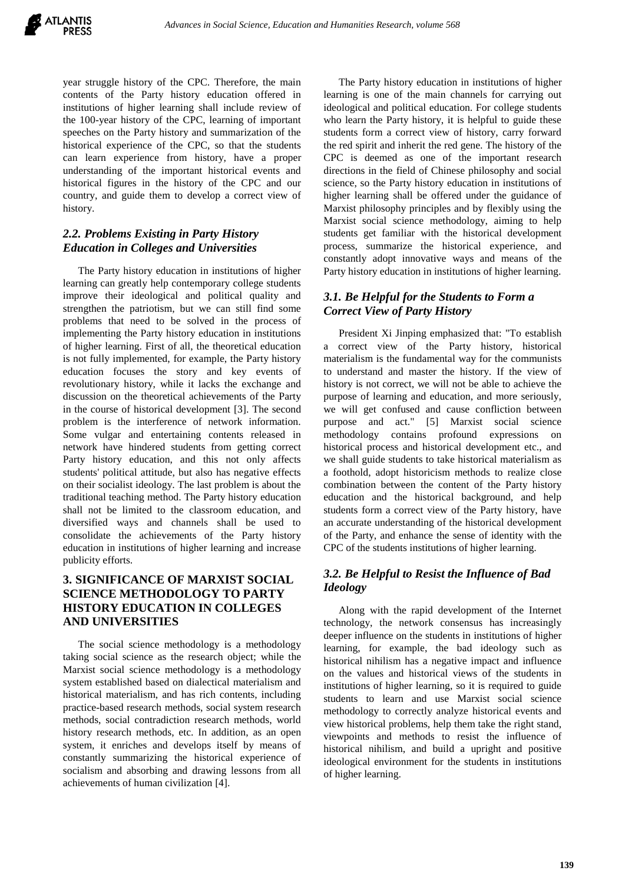year struggle history of the CPC. Therefore, the main contents of the Party history education offered in institutions of higher learning shall include review of the 100-year history of the CPC, learning of important speeches on the Party history and summarization of the historical experience of the CPC, so that the students can learn experience from history, have a proper understanding of the important historical events and historical figures in the history of the CPC and our country, and guide them to develop a correct view of history.

## *2.2. Problems Existing in Party History Education in Colleges and Universities*

The Party history education in institutions of higher learning can greatly help contemporary college students improve their ideological and political quality and strengthen the patriotism, but we can still find some problems that need to be solved in the process of implementing the Party history education in institutions of higher learning. First of all, the theoretical education is not fully implemented, for example, the Party history education focuses the story and key events of revolutionary history, while it lacks the exchange and discussion on the theoretical achievements of the Party in the course of historical development [3]. The second problem is the interference of network information. Some vulgar and entertaining contents released in network have hindered students from getting correct Party history education, and this not only affects students' political attitude, but also has negative effects on their socialist ideology. The last problem is about the traditional teaching method. The Party history education shall not be limited to the classroom education, and diversified ways and channels shall be used to consolidate the achievements of the Party history education in institutions of higher learning and increase publicity efforts.

# **3. SIGNIFICANCE OF MARXIST SOCIAL SCIENCE METHODOLOGY TO PARTY HISTORY EDUCATION IN COLLEGES AND UNIVERSITIES**

The social science methodology is a methodology taking social science as the research object; while the Marxist social science methodology is a methodology system established based on dialectical materialism and historical materialism, and has rich contents, including practice-based research methods, social system research methods, social contradiction research methods, world history research methods, etc. In addition, as an open system, it enriches and develops itself by means of constantly summarizing the historical experience of socialism and absorbing and drawing lessons from all achievements of human civilization [4].

The Party history education in institutions of higher learning is one of the main channels for carrying out ideological and political education. For college students who learn the Party history, it is helpful to guide these students form a correct view of history, carry forward the red spirit and inherit the red gene. The history of the CPC is deemed as one of the important research directions in the field of Chinese philosophy and social science, so the Party history education in institutions of higher learning shall be offered under the guidance of Marxist philosophy principles and by flexibly using the Marxist social science methodology, aiming to help students get familiar with the historical development process, summarize the historical experience, and constantly adopt innovative ways and means of the Party history education in institutions of higher learning.

# *3.1. Be Helpful for the Students to Form a Correct View of Party History*

President Xi Jinping emphasized that: "To establish a correct view of the Party history, historical materialism is the fundamental way for the communists to understand and master the history. If the view of history is not correct, we will not be able to achieve the purpose of learning and education, and more seriously, we will get confused and cause confliction between purpose and act." [5] Marxist social science methodology contains profound expressions on historical process and historical development etc., and we shall guide students to take historical materialism as a foothold, adopt historicism methods to realize close combination between the content of the Party history education and the historical background, and help students form a correct view of the Party history, have an accurate understanding of the historical development of the Party, and enhance the sense of identity with the CPC of the students institutions of higher learning.

## *3.2. Be Helpful to Resist the Influence of Bad Ideology*

Along with the rapid development of the Internet technology, the network consensus has increasingly deeper influence on the students in institutions of higher learning, for example, the bad ideology such as historical nihilism has a negative impact and influence on the values and historical views of the students in institutions of higher learning, so it is required to guide students to learn and use Marxist social science methodology to correctly analyze historical events and view historical problems, help them take the right stand, viewpoints and methods to resist the influence of historical nihilism, and build a upright and positive ideological environment for the students in institutions of higher learning.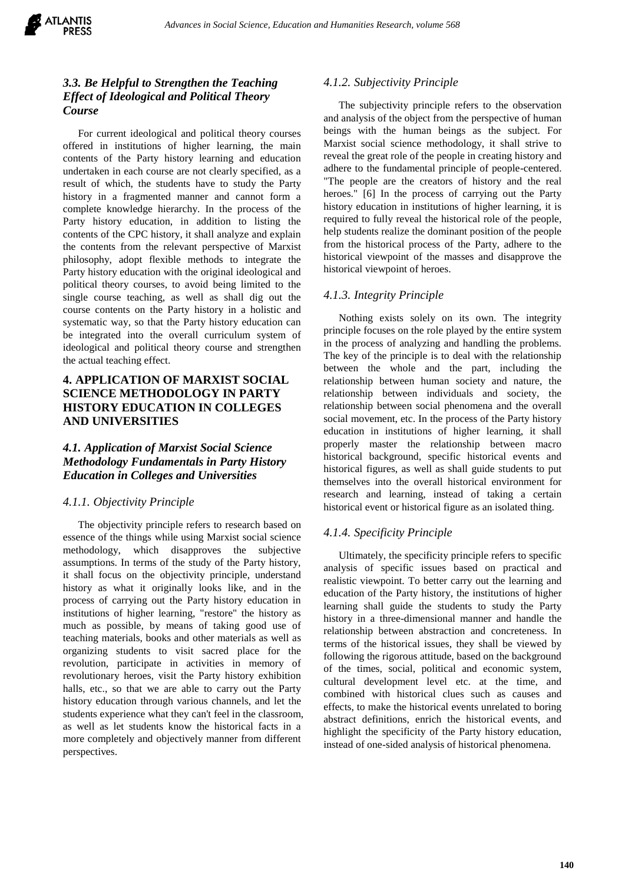

# *3.3. Be Helpful to Strengthen the Teaching Effect of Ideological and Political Theory Course*

For current ideological and political theory courses offered in institutions of higher learning, the main contents of the Party history learning and education undertaken in each course are not clearly specified, as a result of which, the students have to study the Party history in a fragmented manner and cannot form a complete knowledge hierarchy. In the process of the Party history education, in addition to listing the contents of the CPC history, it shall analyze and explain the contents from the relevant perspective of Marxist philosophy, adopt flexible methods to integrate the Party history education with the original ideological and political theory courses, to avoid being limited to the single course teaching, as well as shall dig out the course contents on the Party history in a holistic and systematic way, so that the Party history education can be integrated into the overall curriculum system of ideological and political theory course and strengthen the actual teaching effect.

# **4. APPLICATION OF MARXIST SOCIAL SCIENCE METHODOLOGY IN PARTY HISTORY EDUCATION IN COLLEGES AND UNIVERSITIES**

## *4.1. Application of Marxist Social Science Methodology Fundamentals in Party History Education in Colleges and Universities*

#### *4.1.1. Objectivity Principle*

The objectivity principle refers to research based on essence of the things while using Marxist social science methodology, which disapproves the subjective assumptions. In terms of the study of the Party history, it shall focus on the objectivity principle, understand history as what it originally looks like, and in the process of carrying out the Party history education in institutions of higher learning, "restore" the history as much as possible, by means of taking good use of teaching materials, books and other materials as well as organizing students to visit sacred place for the revolution, participate in activities in memory of revolutionary heroes, visit the Party history exhibition halls, etc., so that we are able to carry out the Party history education through various channels, and let the students experience what they can't feel in the classroom, as well as let students know the historical facts in a more completely and objectively manner from different perspectives.

#### *4.1.2. Subjectivity Principle*

The subjectivity principle refers to the observation and analysis of the object from the perspective of human beings with the human beings as the subject. For Marxist social science methodology, it shall strive to reveal the great role of the people in creating history and adhere to the fundamental principle of people-centered. "The people are the creators of history and the real heroes." [6] In the process of carrying out the Party history education in institutions of higher learning, it is required to fully reveal the historical role of the people, help students realize the dominant position of the people from the historical process of the Party, adhere to the historical viewpoint of the masses and disapprove the historical viewpoint of heroes.

#### *4.1.3. Integrity Principle*

Nothing exists solely on its own. The integrity principle focuses on the role played by the entire system in the process of analyzing and handling the problems. The key of the principle is to deal with the relationship between the whole and the part, including the relationship between human society and nature, the relationship between individuals and society, the relationship between social phenomena and the overall social movement, etc. In the process of the Party history education in institutions of higher learning, it shall properly master the relationship between macro historical background, specific historical events and historical figures, as well as shall guide students to put themselves into the overall historical environment for research and learning, instead of taking a certain historical event or historical figure as an isolated thing.

#### *4.1.4. Specificity Principle*

Ultimately, the specificity principle refers to specific analysis of specific issues based on practical and realistic viewpoint. To better carry out the learning and education of the Party history, the institutions of higher learning shall guide the students to study the Party history in a three-dimensional manner and handle the relationship between abstraction and concreteness. In terms of the historical issues, they shall be viewed by following the rigorous attitude, based on the background of the times, social, political and economic system, cultural development level etc. at the time, and combined with historical clues such as causes and effects, to make the historical events unrelated to boring abstract definitions, enrich the historical events, and highlight the specificity of the Party history education, instead of one-sided analysis of historical phenomena.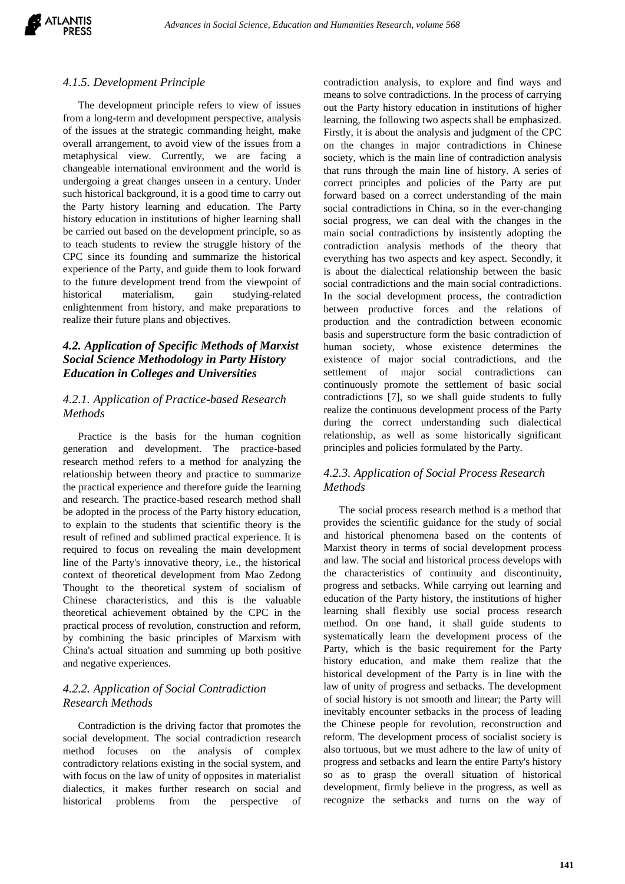#### *4.1.5. Development Principle*

The development principle refers to view of issues from a long-term and development perspective, analysis of the issues at the strategic commanding height, make overall arrangement, to avoid view of the issues from a metaphysical view. Currently, we are facing a changeable international environment and the world is undergoing a great changes unseen in a century. Under such historical background, it is a good time to carry out the Party history learning and education. The Party history education in institutions of higher learning shall be carried out based on the development principle, so as to teach students to review the struggle history of the CPC since its founding and summarize the historical experience of the Party, and guide them to look forward to the future development trend from the viewpoint of historical materialism, gain studying-related enlightenment from history, and make preparations to realize their future plans and objectives.

## *4.2. Application of Specific Methods of Marxist Social Science Methodology in Party History Education in Colleges and Universities*

### *4.2.1. Application of Practice-based Research Methods*

Practice is the basis for the human cognition generation and development. The practice-based research method refers to a method for analyzing the relationship between theory and practice to summarize the practical experience and therefore guide the learning and research. The practice-based research method shall be adopted in the process of the Party history education, to explain to the students that scientific theory is the result of refined and sublimed practical experience. It is required to focus on revealing the main development line of the Party's innovative theory, i.e., the historical context of theoretical development from Mao Zedong Thought to the theoretical system of socialism of Chinese characteristics, and this is the valuable theoretical achievement obtained by the CPC in the practical process of revolution, construction and reform, by combining the basic principles of Marxism with China's actual situation and summing up both positive and negative experiences.

## *4.2.2. Application of Social Contradiction Research Methods*

Contradiction is the driving factor that promotes the social development. The social contradiction research method focuses on the analysis of complex contradictory relations existing in the social system, and with focus on the law of unity of opposites in materialist dialectics, it makes further research on social and historical problems from the perspective of

contradiction analysis, to explore and find ways and means to solve contradictions. In the process of carrying out the Party history education in institutions of higher learning, the following two aspects shall be emphasized. Firstly, it is about the analysis and judgment of the CPC on the changes in major contradictions in Chinese society, which is the main line of contradiction analysis that runs through the main line of history. A series of correct principles and policies of the Party are put forward based on a correct understanding of the main social contradictions in China, so in the ever-changing social progress, we can deal with the changes in the main social contradictions by insistently adopting the contradiction analysis methods of the theory that everything has two aspects and key aspect. Secondly, it is about the dialectical relationship between the basic social contradictions and the main social contradictions. In the social development process, the contradiction between productive forces and the relations of production and the contradiction between economic basis and superstructure form the basic contradiction of human society, whose existence determines the existence of major social contradictions, and the settlement of major social contradictions can continuously promote the settlement of basic social contradictions [7], so we shall guide students to fully realize the continuous development process of the Party during the correct understanding such dialectical relationship, as well as some historically significant principles and policies formulated by the Party.

## *4.2.3. Application of Social Process Research Methods*

The social process research method is a method that provides the scientific guidance for the study of social and historical phenomena based on the contents of Marxist theory in terms of social development process and law. The social and historical process develops with the characteristics of continuity and discontinuity, progress and setbacks. While carrying out learning and education of the Party history, the institutions of higher learning shall flexibly use social process research method. On one hand, it shall guide students to systematically learn the development process of the Party, which is the basic requirement for the Party history education, and make them realize that the historical development of the Party is in line with the law of unity of progress and setbacks. The development of social history is not smooth and linear; the Party will inevitably encounter setbacks in the process of leading the Chinese people for revolution, reconstruction and reform. The development process of socialist society is also tortuous, but we must adhere to the law of unity of progress and setbacks and learn the entire Party's history so as to grasp the overall situation of historical development, firmly believe in the progress, as well as recognize the setbacks and turns on the way of